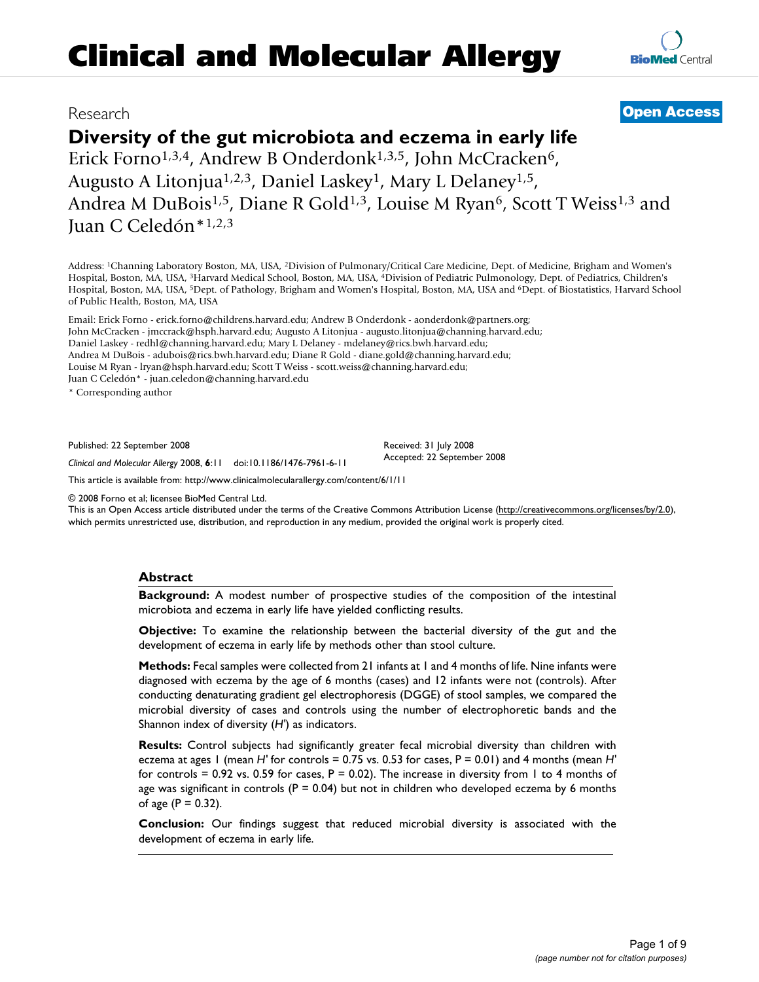# **Diversity of the gut microbiota and eczema in early life**

Erick Forno<sup>1,3,4</sup>, Andrew B Onderdonk<sup>1,3,5</sup>, John McCracken<sup>6</sup>, Augusto A Litonjua<sup>1,2,3</sup>, Daniel Laskey<sup>1</sup>, Mary L Delaney<sup>1,5</sup>, Andrea M DuBois<sup>1,5</sup>, Diane R Gold<sup>1,3</sup>, Louise M Ryan<sup>6</sup>, Scott T Weiss<sup>1,3</sup> and Juan C Celedón\*1,2,3

Address: 1Channing Laboratory Boston, MA, USA, 2Division of Pulmonary/Critical Care Medicine, Dept. of Medicine, Brigham and Women's Hospital, Boston, MA, USA, 3Harvard Medical School, Boston, MA, USA, 4Division of Pediatric Pulmonology, Dept. of Pediatrics, Children's Hospital, Boston, MA, USA, 5Dept. of Pathology, Brigham and Women's Hospital, Boston, MA, USA and 6Dept. of Biostatistics, Harvard School of Public Health, Boston, MA, USA

Email: Erick Forno - erick.forno@childrens.harvard.edu; Andrew B Onderdonk - aonderdonk@partners.org; John McCracken - jmccrack@hsph.harvard.edu; Augusto A Litonjua - augusto.litonjua@channing.harvard.edu; Daniel Laskey - redhl@channing.harvard.edu; Mary L Delaney - mdelaney@rics.bwh.harvard.edu; Andrea M DuBois - adubois@rics.bwh.harvard.edu; Diane R Gold - diane.gold@channing.harvard.edu; Louise M Ryan - lryan@hsph.harvard.edu; Scott T Weiss - scott.weiss@channing.harvard.edu; Juan C Celedón\* - juan.celedon@channing.harvard.edu

\* Corresponding author

Published: 22 September 2008

*Clinical and Molecular Allergy* 2008, **6**:11 doi:10.1186/1476-7961-6-11

[This article is available from: http://www.clinicalmolecularallergy.com/content/6/1/11](http://www.clinicalmolecularallergy.com/content/6/1/11)

© 2008 Forno et al; licensee BioMed Central Ltd.

This is an Open Access article distributed under the terms of the Creative Commons Attribution License [\(http://creativecommons.org/licenses/by/2.0\)](http://creativecommons.org/licenses/by/2.0), which permits unrestricted use, distribution, and reproduction in any medium, provided the original work is properly cited.

#### **Abstract**

**Background:** A modest number of prospective studies of the composition of the intestinal microbiota and eczema in early life have yielded conflicting results.

**Objective:** To examine the relationship between the bacterial diversity of the gut and the development of eczema in early life by methods other than stool culture.

**Methods:** Fecal samples were collected from 21 infants at 1 and 4 months of life. Nine infants were diagnosed with eczema by the age of 6 months (cases) and 12 infants were not (controls). After conducting denaturating gradient gel electrophoresis (DGGE) of stool samples, we compared the microbial diversity of cases and controls using the number of electrophoretic bands and the Shannon index of diversity (*H'*) as indicators.

**Results:** Control subjects had significantly greater fecal microbial diversity than children with eczema at ages 1 (mean *H'* for controls = 0.75 vs. 0.53 for cases, P = 0.01) and 4 months (mean *H'* for controls = 0.92 vs. 0.59 for cases,  $P = 0.02$ ). The increase in diversity from 1 to 4 months of age was significant in controls ( $P = 0.04$ ) but not in children who developed eczema by 6 months of age  $(P = 0.32)$ .

**Conclusion:** Our findings suggest that reduced microbial diversity is associated with the development of eczema in early life.

# Research **[Open Access](http://www.biomedcentral.com/info/about/charter/)**

Received: 31 July 2008 Accepted: 22 September 2008

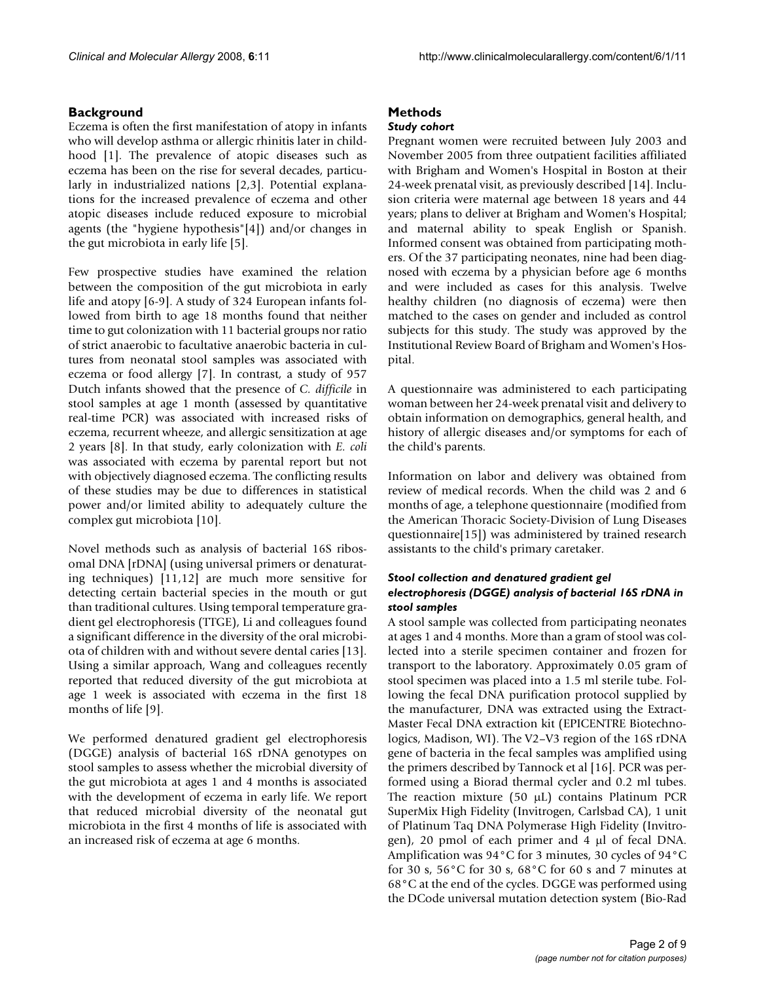# **Background**

Eczema is often the first manifestation of atopy in infants who will develop asthma or allergic rhinitis later in childhood [1]. The prevalence of atopic diseases such as eczema has been on the rise for several decades, particularly in industrialized nations [2,3]. Potential explanations for the increased prevalence of eczema and other atopic diseases include reduced exposure to microbial agents (the "hygiene hypothesis"[4]) and/or changes in the gut microbiota in early life [5].

Few prospective studies have examined the relation between the composition of the gut microbiota in early life and atopy [6-9]. A study of 324 European infants followed from birth to age 18 months found that neither time to gut colonization with 11 bacterial groups nor ratio of strict anaerobic to facultative anaerobic bacteria in cultures from neonatal stool samples was associated with eczema or food allergy [7]. In contrast, a study of 957 Dutch infants showed that the presence of *C. difficile* in stool samples at age 1 month (assessed by quantitative real-time PCR) was associated with increased risks of eczema, recurrent wheeze, and allergic sensitization at age 2 years [8]. In that study, early colonization with *E. coli* was associated with eczema by parental report but not with objectively diagnosed eczema. The conflicting results of these studies may be due to differences in statistical power and/or limited ability to adequately culture the complex gut microbiota [10].

Novel methods such as analysis of bacterial 16S ribosomal DNA [rDNA] (using universal primers or denaturating techniques) [11,12] are much more sensitive for detecting certain bacterial species in the mouth or gut than traditional cultures. Using temporal temperature gradient gel electrophoresis (TTGE), Li and colleagues found a significant difference in the diversity of the oral microbiota of children with and without severe dental caries [13]. Using a similar approach, Wang and colleagues recently reported that reduced diversity of the gut microbiota at age 1 week is associated with eczema in the first 18 months of life [9].

We performed denatured gradient gel electrophoresis (DGGE) analysis of bacterial 16S rDNA genotypes on stool samples to assess whether the microbial diversity of the gut microbiota at ages 1 and 4 months is associated with the development of eczema in early life. We report that reduced microbial diversity of the neonatal gut microbiota in the first 4 months of life is associated with an increased risk of eczema at age 6 months.

# **Methods**

### *Study cohort*

Pregnant women were recruited between July 2003 and November 2005 from three outpatient facilities affiliated with Brigham and Women's Hospital in Boston at their 24-week prenatal visit, as previously described [14]. Inclusion criteria were maternal age between 18 years and 44 years; plans to deliver at Brigham and Women's Hospital; and maternal ability to speak English or Spanish. Informed consent was obtained from participating mothers. Of the 37 participating neonates, nine had been diagnosed with eczema by a physician before age 6 months and were included as cases for this analysis. Twelve healthy children (no diagnosis of eczema) were then matched to the cases on gender and included as control subjects for this study. The study was approved by the Institutional Review Board of Brigham and Women's Hospital.

A questionnaire was administered to each participating woman between her 24-week prenatal visit and delivery to obtain information on demographics, general health, and history of allergic diseases and/or symptoms for each of the child's parents.

Information on labor and delivery was obtained from review of medical records. When the child was 2 and 6 months of age, a telephone questionnaire (modified from the American Thoracic Society-Division of Lung Diseases questionnaire[15]) was administered by trained research assistants to the child's primary caretaker.

### *Stool collection and denatured gradient gel electrophoresis (DGGE) analysis of bacterial 16S rDNA in stool samples*

A stool sample was collected from participating neonates at ages 1 and 4 months. More than a gram of stool was collected into a sterile specimen container and frozen for transport to the laboratory. Approximately 0.05 gram of stool specimen was placed into a 1.5 ml sterile tube. Following the fecal DNA purification protocol supplied by the manufacturer, DNA was extracted using the Extract-Master Fecal DNA extraction kit (EPICENTRE Biotechnologics, Madison, WI). The V2–V3 region of the 16S rDNA gene of bacteria in the fecal samples was amplified using the primers described by Tannock et al [16]. PCR was performed using a Biorad thermal cycler and 0.2 ml tubes. The reaction mixture (50 μL) contains Platinum PCR SuperMix High Fidelity (Invitrogen, Carlsbad CA), 1 unit of Platinum Taq DNA Polymerase High Fidelity (Invitrogen), 20 pmol of each primer and 4 μl of fecal DNA. Amplification was 94°C for 3 minutes, 30 cycles of 94°C for 30 s, 56°C for 30 s, 68°C for 60 s and 7 minutes at 68°C at the end of the cycles. DGGE was performed using the DCode universal mutation detection system (Bio-Rad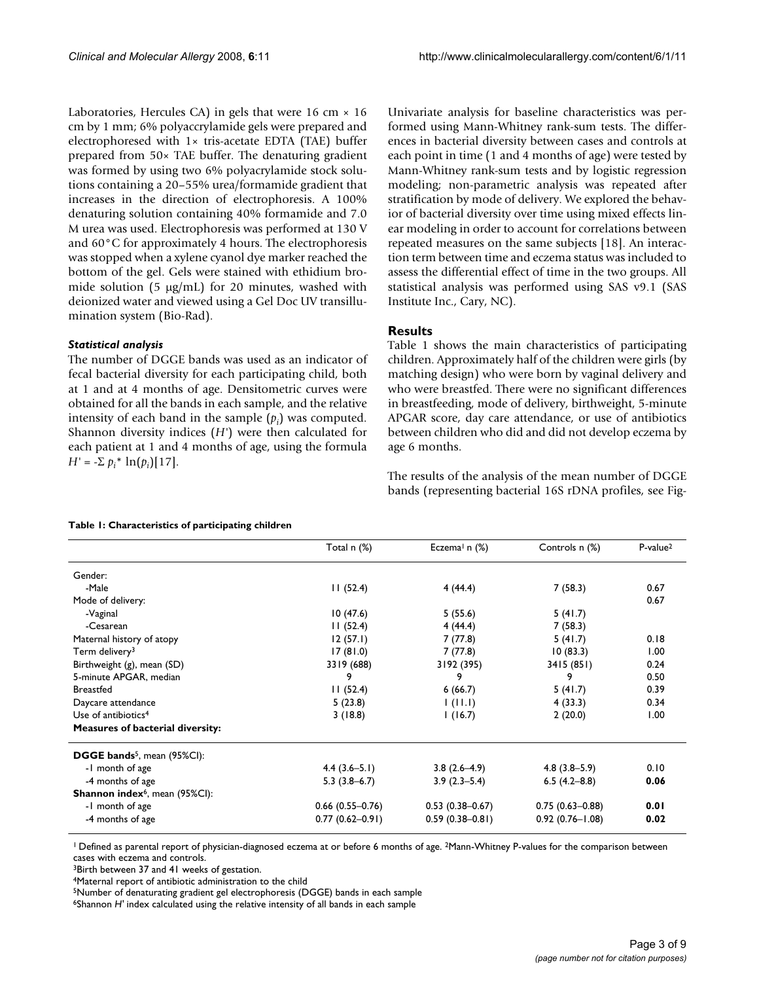Laboratories, Hercules CA) in gels that were 16 cm  $\times$  16 cm by 1 mm; 6% polyaccrylamide gels were prepared and electrophoresed with 1× tris-acetate EDTA (TAE) buffer prepared from 50× TAE buffer. The denaturing gradient was formed by using two 6% polyacrylamide stock solutions containing a 20–55% urea/formamide gradient that increases in the direction of electrophoresis. A 100% denaturing solution containing 40% formamide and 7.0 M urea was used. Electrophoresis was performed at 130 V and 60°C for approximately 4 hours. The electrophoresis was stopped when a xylene cyanol dye marker reached the bottom of the gel. Gels were stained with ethidium bromide solution (5 μg/mL) for 20 minutes, washed with deionized water and viewed using a Gel Doc UV transillumination system (Bio-Rad).

### *Statistical analysis*

The number of DGGE bands was used as an indicator of fecal bacterial diversity for each participating child, both at 1 and at 4 months of age. Densitometric curves were obtained for all the bands in each sample, and the relative intensity of each band in the sample  $(p_i)$  was computed. Shannon diversity indices (*H'*) were then calculated for each patient at 1 and 4 months of age, using the formula *H'* =  $-\Sigma p_i^* \ln(p_i)[17]$ .

Univariate analysis for baseline characteristics was performed using Mann-Whitney rank-sum tests. The differences in bacterial diversity between cases and controls at each point in time (1 and 4 months of age) were tested by Mann-Whitney rank-sum tests and by logistic regression modeling; non-parametric analysis was repeated after stratification by mode of delivery. We explored the behavior of bacterial diversity over time using mixed effects linear modeling in order to account for correlations between repeated measures on the same subjects [18]. An interaction term between time and eczema status was included to assess the differential effect of time in the two groups. All statistical analysis was performed using SAS v9.1 (SAS Institute Inc., Cary, NC).

# **Results**

Table 1 shows the main characteristics of participating children. Approximately half of the children were girls (by matching design) who were born by vaginal delivery and who were breastfed. There were no significant differences in breastfeeding, mode of delivery, birthweight, 5-minute APGAR score, day care attendance, or use of antibiotics between children who did and did not develop eczema by age 6 months.

The results of the analysis of the mean number of DGGE bands (representing bacterial 16S rDNA profiles, see Fig-

#### **Table 1: Characteristics of participating children**

|                                                | Total n (%)<br>Eczema <sup>1</sup> n $(\%)$ |                     | Controls n (%)      | P-value <sup>2</sup> |  |
|------------------------------------------------|---------------------------------------------|---------------------|---------------------|----------------------|--|
| Gender:                                        |                                             |                     |                     |                      |  |
| -Male                                          | 11(52.4)                                    | 4(44.4)             | 7(58.3)             | 0.67                 |  |
| Mode of delivery:                              |                                             |                     |                     | 0.67                 |  |
| -Vaginal                                       | 10(47.6)                                    | 5(55.6)             | 5(41.7)             |                      |  |
| -Cesarean                                      | 11(52.4)                                    | 4(44.4)             | 7(58.3)             |                      |  |
| Maternal history of atopy                      | 12(57.1)                                    | 7(77.8)             | 5(41.7)             | 0.18                 |  |
| Term delivery <sup>3</sup>                     | 17(81.0)                                    | 7(77.8)             | 10(83.3)            | 1.00                 |  |
| Birthweight (g), mean (SD)                     | 3319 (688)                                  | 3192 (395)          | 3415 (851)          | 0.24                 |  |
| 5-minute APGAR, median                         | 9                                           | 9                   | 9                   | 0.50                 |  |
| <b>Breastfed</b>                               | 11(52.4)                                    | 6(66.7)             | 5(41.7)             | 0.39                 |  |
| Daycare attendance                             | 5(23.8)                                     | 1(11.1)             | 4(33.3)             | 0.34                 |  |
| Use of antibiotics <sup>4</sup>                | 3(18.8)                                     | 1(16.7)             | 2(20.0)             | 1.00                 |  |
| <b>Measures of bacterial diversity:</b>        |                                             |                     |                     |                      |  |
| <b>DGGE bands</b> <sup>5</sup> , mean (95%CI): |                                             |                     |                     |                      |  |
| -1 month of age                                | $4.4(3.6-5.1)$                              | $3.8(2.6-4.9)$      | $4.8(3.8-5.9)$      | 0.10                 |  |
| -4 months of age                               | $5.3(3.8-6.7)$                              | $3.9(2.3-5.4)$      | $6.5(4.2 - 8.8)$    | 0.06                 |  |
| Shannon index <sup>6</sup> , mean (95%Cl):     |                                             |                     |                     |                      |  |
| -1 month of age                                | $0.66$ (0.55-0.76)                          | $0.53(0.38 - 0.67)$ | $0.75(0.63 - 0.88)$ | 0.01                 |  |
| -4 months of age                               | $0.77(0.62 - 0.91)$                         | $0.59(0.38 - 0.81)$ | $0.92(0.76 - 1.08)$ | 0.02                 |  |

<sup>1</sup> Defined as parental report of physician-diagnosed eczema at or before 6 months of age. <sup>2</sup>Mann-Whitney P-values for the comparison between cases with eczema and controls.

<sup>3</sup>Birth between 37 and 41 weeks of gestation.

4Maternal report of antibiotic administration to the child

5Number of denaturating gradient gel electrophoresis (DGGE) bands in each sample

6Shannon *H'* index calculated using the relative intensity of all bands in each sample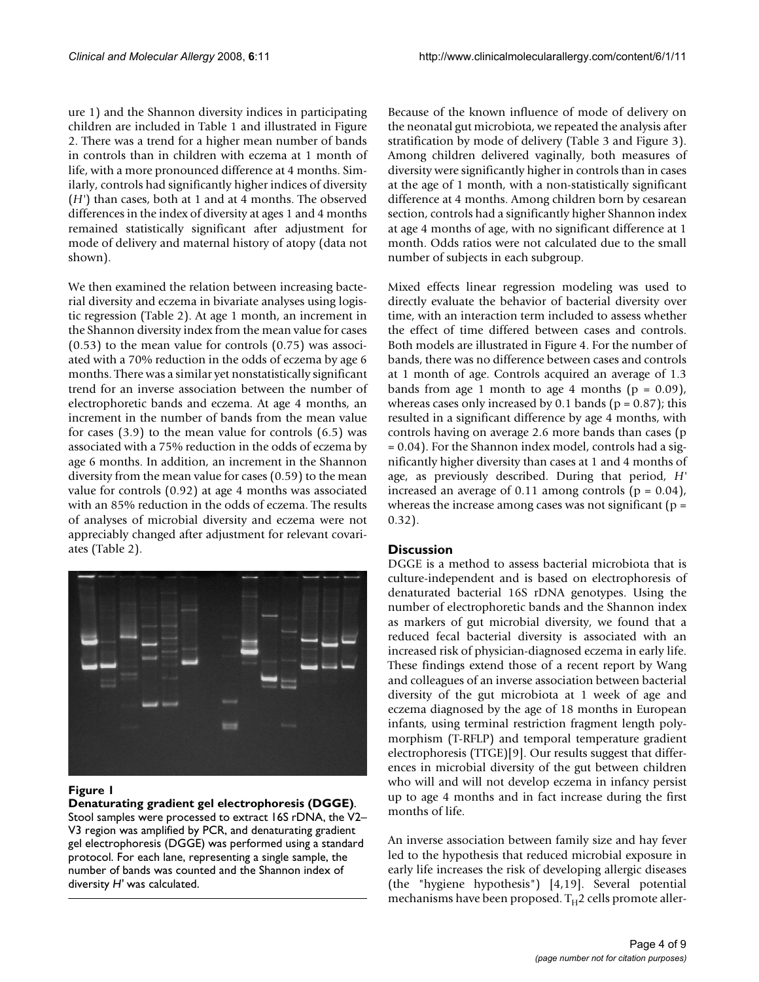ure 1) and the Shannon diversity indices in participating children are included in Table 1 and illustrated in Figure 2. There was a trend for a higher mean number of bands in controls than in children with eczema at 1 month of life, with a more pronounced difference at 4 months. Similarly, controls had significantly higher indices of diversity (*H'*) than cases, both at 1 and at 4 months. The observed differences in the index of diversity at ages 1 and 4 months remained statistically significant after adjustment for mode of delivery and maternal history of atopy (data not shown).

We then examined the relation between increasing bacterial diversity and eczema in bivariate analyses using logistic regression (Table 2). At age 1 month, an increment in the Shannon diversity index from the mean value for cases (0.53) to the mean value for controls (0.75) was associated with a 70% reduction in the odds of eczema by age 6 months. There was a similar yet nonstatistically significant trend for an inverse association between the number of electrophoretic bands and eczema. At age 4 months, an increment in the number of bands from the mean value for cases (3.9) to the mean value for controls (6.5) was associated with a 75% reduction in the odds of eczema by age 6 months. In addition, an increment in the Shannon diversity from the mean value for cases (0.59) to the mean value for controls (0.92) at age 4 months was associated with an 85% reduction in the odds of eczema. The results of analyses of microbial diversity and eczema were not appreciably changed after adjustment for relevant covariates (Table 2).



# Figure 1

#### **Denaturating gradient gel electrophoresis (DGGE)**.

Stool samples were processed to extract 16S rDNA, the V2– V3 region was amplified by PCR, and denaturating gradient gel electrophoresis (DGGE) was performed using a standard protocol. For each lane, representing a single sample, the number of bands was counted and the Shannon index of diversity *H'* was calculated.

Because of the known influence of mode of delivery on the neonatal gut microbiota, we repeated the analysis after stratification by mode of delivery (Table 3 and Figure 3). Among children delivered vaginally, both measures of diversity were significantly higher in controls than in cases at the age of 1 month, with a non-statistically significant difference at 4 months. Among children born by cesarean section, controls had a significantly higher Shannon index at age 4 months of age, with no significant difference at 1 month. Odds ratios were not calculated due to the small number of subjects in each subgroup.

Mixed effects linear regression modeling was used to directly evaluate the behavior of bacterial diversity over time, with an interaction term included to assess whether the effect of time differed between cases and controls. Both models are illustrated in Figure 4. For the number of bands, there was no difference between cases and controls at 1 month of age. Controls acquired an average of 1.3 bands from age 1 month to age 4 months  $(p = 0.09)$ , whereas cases only increased by 0.1 bands ( $p = 0.87$ ); this resulted in a significant difference by age 4 months, with controls having on average 2.6 more bands than cases (p = 0.04). For the Shannon index model, controls had a significantly higher diversity than cases at 1 and 4 months of age, as previously described. During that period, *H'* increased an average of 0.11 among controls  $(p = 0.04)$ , whereas the increase among cases was not significant ( $p =$ 0.32).

# **Discussion**

DGGE is a method to assess bacterial microbiota that is culture-independent and is based on electrophoresis of denaturated bacterial 16S rDNA genotypes. Using the number of electrophoretic bands and the Shannon index as markers of gut microbial diversity, we found that a reduced fecal bacterial diversity is associated with an increased risk of physician-diagnosed eczema in early life. These findings extend those of a recent report by Wang and colleagues of an inverse association between bacterial diversity of the gut microbiota at 1 week of age and eczema diagnosed by the age of 18 months in European infants, using terminal restriction fragment length polymorphism (T-RFLP) and temporal temperature gradient electrophoresis (TTGE)[9]. Our results suggest that differences in microbial diversity of the gut between children who will and will not develop eczema in infancy persist up to age 4 months and in fact increase during the first months of life.

An inverse association between family size and hay fever led to the hypothesis that reduced microbial exposure in early life increases the risk of developing allergic diseases (the "hygiene hypothesis") [4,19]. Several potential mechanisms have been proposed.  $T_H$ 2 cells promote aller-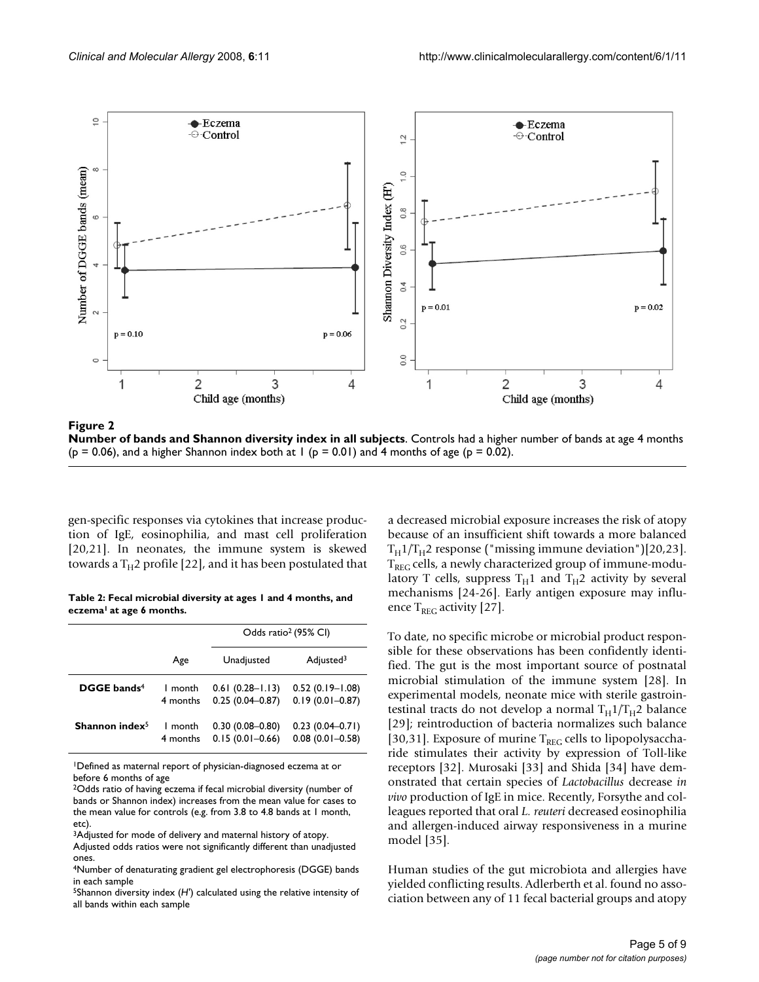

Figure 2 **Number of bands and Shannon diversity index in all subjects**. Controls had a higher number of bands at age 4 months  $(p = 0.06)$ , and a higher Shannon index both at 1  $(p = 0.01)$  and 4 months of age  $(p = 0.02)$ .

gen-specific responses via cytokines that increase production of IgE, eosinophilia, and mast cell proliferation [20,21]. In neonates, the immune system is skewed towards a  $T_H$ 2 profile [22], and it has been postulated that

**Table 2: Fecal microbial diversity at ages 1 and 4 months, and eczema1 at age 6 months.**

|                         |          | Odds ratio <sup>2</sup> (95% CI) |                       |  |  |
|-------------------------|----------|----------------------------------|-----------------------|--|--|
|                         | Age      | Unadjusted                       | Adjusted <sup>3</sup> |  |  |
| DGGE bands <sup>4</sup> | I month  | $0.61(0.28 - 1.13)$              | $0.52(0.19 - 1.08)$   |  |  |
|                         | 4 months | $0.25(0.04 - 0.87)$              | $0.19(0.01 - 0.87)$   |  |  |
| Shannon index $5$       | 1 month  | $0.30(0.08 - 0.80)$              | $0.23(0.04 - 0.71)$   |  |  |
|                         | 4 months | $0.15(0.01 - 0.66)$              | $0.08(0.01 - 0.58)$   |  |  |

1Defined as maternal report of physician-diagnosed eczema at or before 6 months of age

2Odds ratio of having eczema if fecal microbial diversity (number of bands or Shannon index) increases from the mean value for cases to the mean value for controls (e.g. from 3.8 to 4.8 bands at 1 month, etc).

3Adjusted for mode of delivery and maternal history of atopy.

Adjusted odds ratios were not significantly different than unadjusted ones.

5Shannon diversity index (*H'*) calculated using the relative intensity of all bands within each sample

a decreased microbial exposure increases the risk of atopy because of an insufficient shift towards a more balanced  $T_H1/T_H2$  response ("missing immune deviation")[20,23].  $T_{\text{REG}}$  cells, a newly characterized group of immune-modulatory T cells, suppress  $T_H1$  and  $T_H2$  activity by several mechanisms [24-26]. Early antigen exposure may influence  $T_{REG}$  activity [27].

To date, no specific microbe or microbial product responsible for these observations has been confidently identified. The gut is the most important source of postnatal microbial stimulation of the immune system [28]. In experimental models, neonate mice with sterile gastrointestinal tracts do not develop a normal  $T_H 1/T_H 2$  balance [29]; reintroduction of bacteria normalizes such balance [30,31]. Exposure of murine  $T_{REG}$  cells to lipopolysaccharide stimulates their activity by expression of Toll-like receptors [32]. Murosaki [33] and Shida [34] have demonstrated that certain species of *Lactobacillus* decrease *in vivo* production of IgE in mice. Recently, Forsythe and colleagues reported that oral *L. reuteri* decreased eosinophilia and allergen-induced airway responsiveness in a murine model [35].

Human studies of the gut microbiota and allergies have yielded conflicting results. Adlerberth et al. found no association between any of 11 fecal bacterial groups and atopy

<sup>4</sup>Number of denaturating gradient gel electrophoresis (DGGE) bands in each sample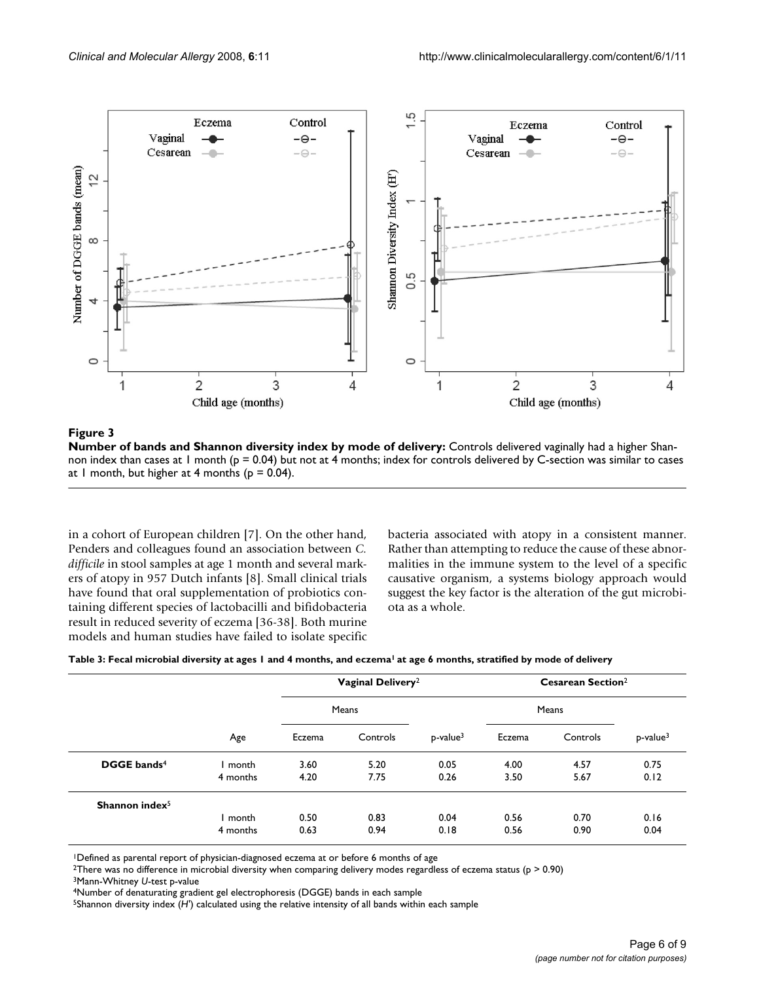

#### Figure 3

**Number of bands and Shannon diversity index by mode of delivery:** Controls delivered vaginally had a higher Shannon index than cases at 1 month ( $p = 0.04$ ) but not at 4 months; index for controls delivered by C-section was similar to cases at 1 month, but higher at 4 months ( $p = 0.04$ ).

in a cohort of European children [7]. On the other hand, Penders and colleagues found an association between *C.* difficile in stool samples at age 1 month and several markers of atopy in 957 Dutch infants [8]. Small clinical trials have found that oral supplementation of probiotics containing different species of lactobacilli and bifidobacteria result in reduced severity of eczema [36-38]. Both murine models and human studies have failed to isolate specific bacteria associated with atopy in a consistent manner. Rather than attempting to reduce the cause of these abnormalities in the immune system to the level of a specific causative organism, a systems biology approach would suggest the key factor is the alteration of the gut microbiota as a whole.

| Table 3: Fecal microbial diversity at ages I and 4 months, and eczema <sup>l</sup> at age 6 months, stratified by mode of delivery |  |  |
|------------------------------------------------------------------------------------------------------------------------------------|--|--|
|                                                                                                                                    |  |  |

|                         | Age      | Vaginal Delivery <sup>2</sup> |          | <b>Cesarean Section</b> <sup>2</sup> |        |          |                         |
|-------------------------|----------|-------------------------------|----------|--------------------------------------|--------|----------|-------------------------|
|                         |          | Means                         |          |                                      | Means  |          |                         |
|                         |          | Eczema                        | Controls | $p$ -value $3$                       | Eczema | Controls | $p$ -value <sup>3</sup> |
| DGGE bands <sup>4</sup> | month    | 3.60                          | 5.20     | 0.05                                 | 4.00   | 4.57     | 0.75                    |
|                         | 4 months | 4.20                          | 7.75     | 0.26                                 | 3.50   | 5.67     | 0.12                    |
| Shannon index $5$       |          |                               |          |                                      |        |          |                         |
|                         | month    | 0.50                          | 0.83     | 0.04                                 | 0.56   | 0.70     | 0.16                    |
|                         | 4 months | 0.63                          | 0.94     | 0.18                                 | 0.56   | 0.90     | 0.04                    |

<sup>1</sup>Defined as parental report of physician-diagnosed eczema at or before 6 months of age

<sup>2</sup>There was no difference in microbial diversity when comparing delivery modes regardless of eczema status (p > 0.90)

3Mann-Whitney *U*-test p-value

4Number of denaturating gradient gel electrophoresis (DGGE) bands in each sample

5Shannon diversity index (*H'*) calculated using the relative intensity of all bands within each sample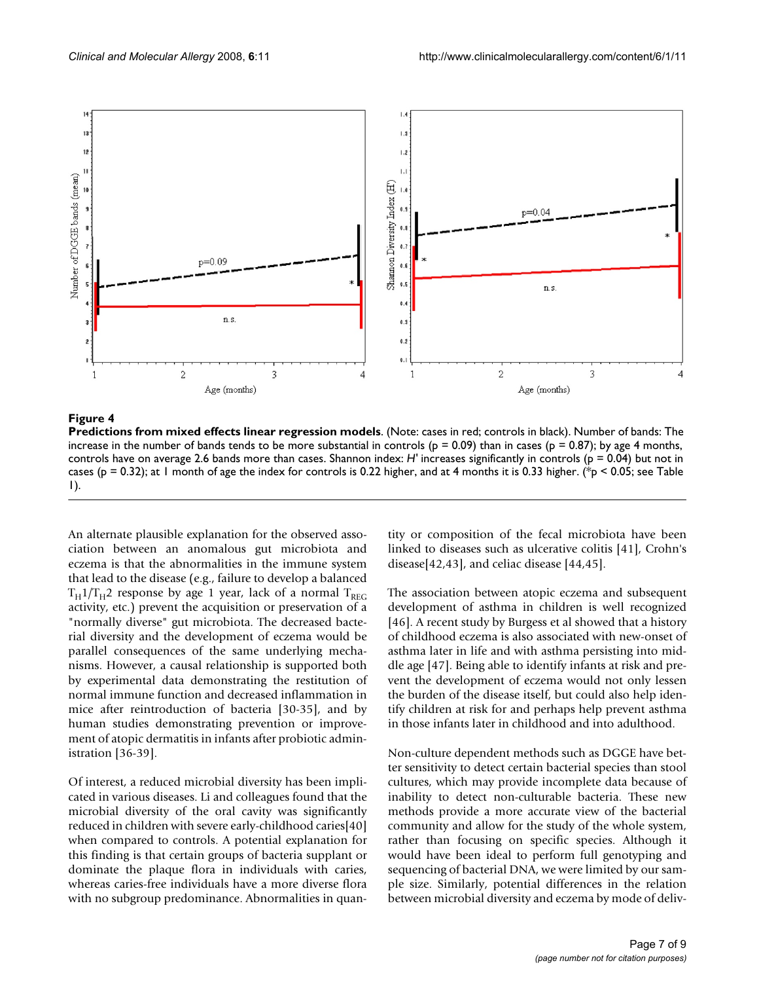

#### **Figure 4**

**Predictions from mixed effects linear regression models**. (Note: cases in red; controls in black). Number of bands: The increase in the number of bands tends to be more substantial in controls ( $p = 0.09$ ) than in cases ( $p = 0.87$ ); by age 4 months, controls have on average 2.6 bands more than cases. Shannon index: *H'* increases significantly in controls (p = 0.04) but not in cases (p = 0.32); at 1 month of age the index for controls is 0.22 higher, and at 4 months it is 0.33 higher. (\*p < 0.05; see Table 1).

An alternate plausible explanation for the observed association between an anomalous gut microbiota and eczema is that the abnormalities in the immune system that lead to the disease (e.g., failure to develop a balanced  $T_H 1/T_H 2$  response by age 1 year, lack of a normal  $T_{REG}$ activity, etc.) prevent the acquisition or preservation of a "normally diverse" gut microbiota. The decreased bacterial diversity and the development of eczema would be parallel consequences of the same underlying mechanisms. However, a causal relationship is supported both by experimental data demonstrating the restitution of normal immune function and decreased inflammation in mice after reintroduction of bacteria [30-35], and by human studies demonstrating prevention or improvement of atopic dermatitis in infants after probiotic administration [36-39].

Of interest, a reduced microbial diversity has been implicated in various diseases. Li and colleagues found that the microbial diversity of the oral cavity was significantly reduced in children with severe early-childhood caries[40] when compared to controls. A potential explanation for this finding is that certain groups of bacteria supplant or dominate the plaque flora in individuals with caries, whereas caries-free individuals have a more diverse flora with no subgroup predominance. Abnormalities in quantity or composition of the fecal microbiota have been linked to diseases such as ulcerative colitis [41], Crohn's disease[42,43], and celiac disease [44,45].

The association between atopic eczema and subsequent development of asthma in children is well recognized [46]. A recent study by Burgess et al showed that a history of childhood eczema is also associated with new-onset of asthma later in life and with asthma persisting into middle age [47]. Being able to identify infants at risk and prevent the development of eczema would not only lessen the burden of the disease itself, but could also help identify children at risk for and perhaps help prevent asthma in those infants later in childhood and into adulthood.

Non-culture dependent methods such as DGGE have better sensitivity to detect certain bacterial species than stool cultures, which may provide incomplete data because of inability to detect non-culturable bacteria. These new methods provide a more accurate view of the bacterial community and allow for the study of the whole system, rather than focusing on specific species. Although it would have been ideal to perform full genotyping and sequencing of bacterial DNA, we were limited by our sample size. Similarly, potential differences in the relation between microbial diversity and eczema by mode of deliv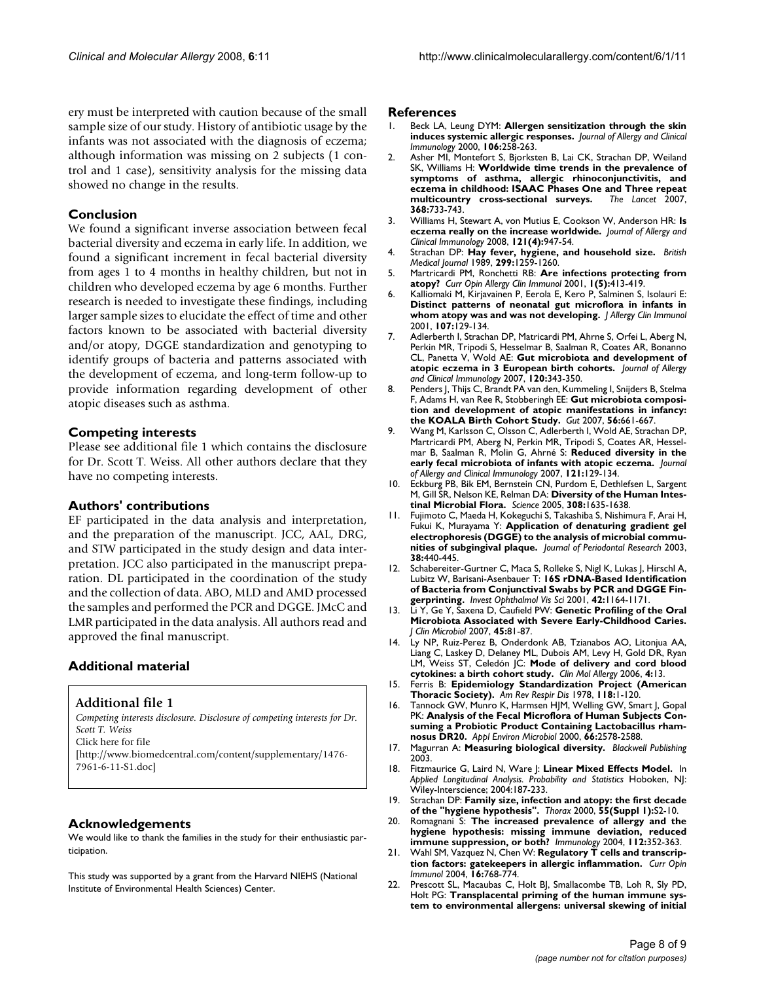ery must be interpreted with caution because of the small sample size of our study. History of antibiotic usage by the infants was not associated with the diagnosis of eczema; although information was missing on 2 subjects (1 control and 1 case), sensitivity analysis for the missing data showed no change in the results.

### **Conclusion**

We found a significant inverse association between fecal bacterial diversity and eczema in early life. In addition, we found a significant increment in fecal bacterial diversity from ages 1 to 4 months in healthy children, but not in children who developed eczema by age 6 months. Further research is needed to investigate these findings, including larger sample sizes to elucidate the effect of time and other factors known to be associated with bacterial diversity and/or atopy, DGGE standardization and genotyping to identify groups of bacteria and patterns associated with the development of eczema, and long-term follow-up to provide information regarding development of other atopic diseases such as asthma.

### **Competing interests**

Please see additional file 1 which contains the disclosure for Dr. Scott T. Weiss. All other authors declare that they have no competing interests.

#### **Authors' contributions**

EF participated in the data analysis and interpretation, and the preparation of the manuscript. JCC, AAL, DRG, and STW participated in the study design and data interpretation. JCC also participated in the manuscript preparation. DL participated in the coordination of the study and the collection of data. ABO, MLD and AMD processed the samples and performed the PCR and DGGE. JMcC and LMR participated in the data analysis. All authors read and approved the final manuscript.

# **Additional material**

# **Additional file 1**

*Competing interests disclosure. Disclosure of competing interests for Dr. Scott T. Weiss* Click here for file [\[http://www.biomedcentral.com/content/supplementary/1476-](http://www.biomedcentral.com/content/supplementary/1476-7961-6-11-S1.doc) 7961-6-11-S1.doc]

#### **Acknowledgements**

We would like to thank the families in the study for their enthusiastic participation.

This study was supported by a grant from the Harvard NIEHS (National Institute of Environmental Health Sciences) Center.

#### **References**

- 1. Beck LA, Leung DYM: **Allergen sensitization through the skin induces systemic allergic responses.** *Journal of Allergy and Clinical Immunology* 2000, **106:**258-263.
- 2. Asher MI, Montefort S, Bjorksten B, Lai CK, Strachan DP, Weiland SK, Williams H: **Worldwide time trends in the prevalence of symptoms of asthma, allergic rhinoconjunctivitis, and eczema in childhood: ISAAC Phases One and Three repeat multicountry cross-sectional surveys.** *The Lancet* 2007, **368:**733-743.
- 3. Williams H, Stewart A, von Mutius E, Cookson W, Anderson HR: **Is eczema really on the increase worldwide.** *Journal of Allergy and Clinical Immunology* 2008, **121(4):**947-54.
- 4. Strachan DP: **[Hay fever, hygiene, and household size.](http://www.ncbi.nlm.nih.gov/entrez/query.fcgi?cmd=Retrieve&db=PubMed&dopt=Abstract&list_uids=2513902)** *British Medical Journal* 1989, **299:**1259-1260.
- 5. Martricardi PM, Ronchetti RB: **[Are infections protecting from](http://www.ncbi.nlm.nih.gov/entrez/query.fcgi?cmd=Retrieve&db=PubMed&dopt=Abstract&list_uids=11964721) [atopy?](http://www.ncbi.nlm.nih.gov/entrez/query.fcgi?cmd=Retrieve&db=PubMed&dopt=Abstract&list_uids=11964721)** *Curr Opin Allergy Clin Immunol* 2001, **1(5):**413-419.
- 6. Kalliomaki M, Kirjavainen P, Eerola E, Kero P, Salminen S, Isolauri E: **[Distinct patterns of neonatal gut microflora in infants in](http://www.ncbi.nlm.nih.gov/entrez/query.fcgi?cmd=Retrieve&db=PubMed&dopt=Abstract&list_uids=11150002) [whom atopy was and was not developing.](http://www.ncbi.nlm.nih.gov/entrez/query.fcgi?cmd=Retrieve&db=PubMed&dopt=Abstract&list_uids=11150002)** *J Allergy Clin Immunol* 2001, **107:**129-134.
- 7. Adlerberth I, Strachan DP, Matricardi PM, Ahrne S, Orfei L, Aberg N, Perkin MR, Tripodi S, Hesselmar B, Saalman R, Coates AR, Bonanno CL, Panetta V, Wold AE: **Gut microbiota and development of atopic eczema in 3 European birth cohorts.** *Journal of Allergy and Clinical Immunology* 2007, **120:**343-350.
- 8. Penders J, Thijs C, Brandt PA van den, Kummeling I, Snijders B, Stelma F, Adams H, van Ree R, Stobberingh EE: **[Gut microbiota composi](http://www.ncbi.nlm.nih.gov/entrez/query.fcgi?cmd=Retrieve&db=PubMed&dopt=Abstract&list_uids=17047098)[tion and development of atopic manifestations in infancy:](http://www.ncbi.nlm.nih.gov/entrez/query.fcgi?cmd=Retrieve&db=PubMed&dopt=Abstract&list_uids=17047098) [the KOALA Birth Cohort Study.](http://www.ncbi.nlm.nih.gov/entrez/query.fcgi?cmd=Retrieve&db=PubMed&dopt=Abstract&list_uids=17047098)** *Gut* 2007, **56:**661-667.
- 9. Wang M, Karlsson C, Olsson C, Adlerberth I, Wold AE, Strachan DP, Martricardi PM, Aberg N, Perkin MR, Tripodi S, Coates AR, Hesselmar B, Saalman R, Molin G, Ahrné S: **Reduced diversity in the early fecal microbiota of infants with atopic eczema.** *Journal of Allergy and Clinical Immunology* 2007, **121:**129-134.
- 10. Eckburg PB, Bik EM, Bernstein CN, Purdom E, Dethlefsen L, Sargent M, Gill SR, Nelson KE, Relman DA: **[Diversity of the Human Intes](http://www.ncbi.nlm.nih.gov/entrez/query.fcgi?cmd=Retrieve&db=PubMed&dopt=Abstract&list_uids=15831718)[tinal Microbial Flora.](http://www.ncbi.nlm.nih.gov/entrez/query.fcgi?cmd=Retrieve&db=PubMed&dopt=Abstract&list_uids=15831718)** *Science* 2005, **308:**1635-1638.
- 11. Fujimoto C, Maeda H, Kokeguchi S, Takashiba S, Nishimura F, Arai H, Fukui K, Murayama Y: **[Application of denaturing gradient gel](http://www.ncbi.nlm.nih.gov/entrez/query.fcgi?cmd=Retrieve&db=PubMed&dopt=Abstract&list_uids=12828664) [electrophoresis \(DGGE\) to the analysis of microbial commu](http://www.ncbi.nlm.nih.gov/entrez/query.fcgi?cmd=Retrieve&db=PubMed&dopt=Abstract&list_uids=12828664)[nities of subgingival plaque.](http://www.ncbi.nlm.nih.gov/entrez/query.fcgi?cmd=Retrieve&db=PubMed&dopt=Abstract&list_uids=12828664)** *Journal of Periodontal Research* 2003, **38:**440-445.
- 12. Schabereiter-Gurtner C, Maca S, Rolleke S, Nigl K, Lukas J, Hirschl A, Lubitz W, Barisani-Asenbauer T: **[16S rDNA-Based Identification](http://www.ncbi.nlm.nih.gov/entrez/query.fcgi?cmd=Retrieve&db=PubMed&dopt=Abstract&list_uids=11328723) [of Bacteria from Conjunctival Swabs by PCR and DGGE Fin](http://www.ncbi.nlm.nih.gov/entrez/query.fcgi?cmd=Retrieve&db=PubMed&dopt=Abstract&list_uids=11328723)[gerprinting.](http://www.ncbi.nlm.nih.gov/entrez/query.fcgi?cmd=Retrieve&db=PubMed&dopt=Abstract&list_uids=11328723)** *Invest Ophthalmol Vis Sci* 2001, **42:**1164-1171.
- 13. Li Y, Ge Y, Saxena D, Caufield PW: **[Genetic Profiling of the Oral](http://www.ncbi.nlm.nih.gov/entrez/query.fcgi?cmd=Retrieve&db=PubMed&dopt=Abstract&list_uids=17079495) [Microbiota Associated with Severe Early-Childhood Caries.](http://www.ncbi.nlm.nih.gov/entrez/query.fcgi?cmd=Retrieve&db=PubMed&dopt=Abstract&list_uids=17079495)** *J Clin Microbiol* 2007, **45:**81-87.
- 14. Ly NP, Ruiz-Perez B, Onderdonk AB, Tzianabos AO, Litonjua AA, Liang C, Laskey D, Delaney ML, Dubois AM, Levy H, Gold DR, Ryan LM, Weiss ST, Celedón JC: **[Mode of delivery and cord blood](http://www.ncbi.nlm.nih.gov/entrez/query.fcgi?cmd=Retrieve&db=PubMed&dopt=Abstract&list_uids=17002791) [cytokines: a birth cohort study.](http://www.ncbi.nlm.nih.gov/entrez/query.fcgi?cmd=Retrieve&db=PubMed&dopt=Abstract&list_uids=17002791)** *Clin Mol Allergy* 2006, **4:**13.
- 15. Ferris B: **[Epidemiology Standardization Project \(American](http://www.ncbi.nlm.nih.gov/entrez/query.fcgi?cmd=Retrieve&db=PubMed&dopt=Abstract&list_uids=742764) [Thoracic Society\).](http://www.ncbi.nlm.nih.gov/entrez/query.fcgi?cmd=Retrieve&db=PubMed&dopt=Abstract&list_uids=742764)** *Am Rev Respir Dis* 1978, **118:**1-120.
- 16. Tannock GW, Munro K, Harmsen HJM, Welling GW, Smart J, Gopal PK: **[Analysis of the Fecal Microflora of Human Subjects Con](http://www.ncbi.nlm.nih.gov/entrez/query.fcgi?cmd=Retrieve&db=PubMed&dopt=Abstract&list_uids=10831441)[suming a Probiotic Product Containing Lactobacillus rham](http://www.ncbi.nlm.nih.gov/entrez/query.fcgi?cmd=Retrieve&db=PubMed&dopt=Abstract&list_uids=10831441)[nosus DR20.](http://www.ncbi.nlm.nih.gov/entrez/query.fcgi?cmd=Retrieve&db=PubMed&dopt=Abstract&list_uids=10831441)** *Appl Environ Microbiol* 2000, **66:**2578-2588.
- 17. Magurran A: **Measuring biological diversity.** *Blackwell Publishing* 2003.
- 18. Fitzmaurice G, Laird N, Ware J: **Linear Mixed Effects Model.** In *Applied Longitudinal Analysis. Probability and Statistics* Hoboken, NJ: Wiley-Interscience; 2004:187-233.
- 19. Strachan DP: **[Family size, infection and atopy: the first decade](http://www.ncbi.nlm.nih.gov/entrez/query.fcgi?cmd=Retrieve&db=PubMed&dopt=Abstract&list_uids=10943631) [of the "hygiene hypothesis".](http://www.ncbi.nlm.nih.gov/entrez/query.fcgi?cmd=Retrieve&db=PubMed&dopt=Abstract&list_uids=10943631)** *Thorax* 2000, **55(Suppl 1):**S2-10.
- 20. Romagnani S: **[The increased prevalence of allergy and the](http://www.ncbi.nlm.nih.gov/entrez/query.fcgi?cmd=Retrieve&db=PubMed&dopt=Abstract&list_uids=15196202) [hygiene hypothesis: missing immune deviation, reduced](http://www.ncbi.nlm.nih.gov/entrez/query.fcgi?cmd=Retrieve&db=PubMed&dopt=Abstract&list_uids=15196202) [immune suppression, or both?](http://www.ncbi.nlm.nih.gov/entrez/query.fcgi?cmd=Retrieve&db=PubMed&dopt=Abstract&list_uids=15196202)** *Immunology* 2004, **112:**352-363.
- 21. Wahl SM, Vazquez N, Chen W: **[Regulatory T cells and transcrip](http://www.ncbi.nlm.nih.gov/entrez/query.fcgi?cmd=Retrieve&db=PubMed&dopt=Abstract&list_uids=15511671)[tion factors: gatekeepers in allergic inflammation.](http://www.ncbi.nlm.nih.gov/entrez/query.fcgi?cmd=Retrieve&db=PubMed&dopt=Abstract&list_uids=15511671)** *Curr Opin Immunol* 2004, **16:**768-774.
- 22. Prescott SL, Macaubas C, Holt BJ, Smallacombe TB, Loh R, Sly PD, Holt PG: **[Transplacental priming of the human immune sys](http://www.ncbi.nlm.nih.gov/entrez/query.fcgi?cmd=Retrieve&db=PubMed&dopt=Abstract&list_uids=9590218)[tem to environmental allergens: universal skewing of initial](http://www.ncbi.nlm.nih.gov/entrez/query.fcgi?cmd=Retrieve&db=PubMed&dopt=Abstract&list_uids=9590218)**